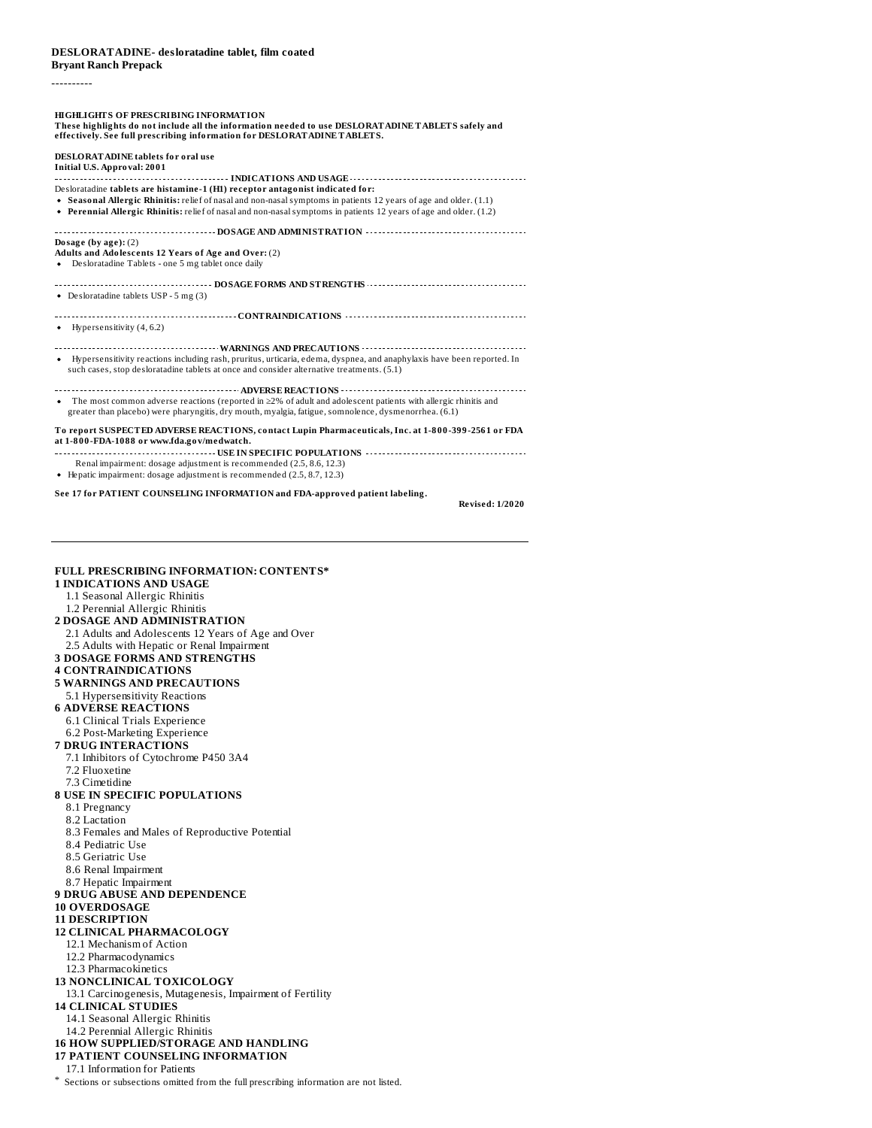----------

| <b>HIGHLIGHTS OF PRESCRIBING INFORMATION</b><br>These highlights do not include all the information needed to use DESLORATADINE TABLETS safely and<br>effectively. See full prescribing information for DESLORAT ADINE TABLETS.         |
|-----------------------------------------------------------------------------------------------------------------------------------------------------------------------------------------------------------------------------------------|
| <b>DESLORAT ADINE tablets for oral use</b><br><b>Initial U.S. Approval: 2001</b>                                                                                                                                                        |
| Desloratadine tablets are histamine-1 (H1) receptor antagonist indicated for:                                                                                                                                                           |
| • Seasonal Allergic Rhinitis: relief of nasal and non-nasal symptoms in patients 12 years of age and older. (1.1)<br>• Perennial Allergic Rhinitis: relief of nasal and non-nasal symptoms in patients 12 years of age and older. (1.2) |
|                                                                                                                                                                                                                                         |
| Dosage (by age): $(2)$                                                                                                                                                                                                                  |
| Adults and Adolescents 12 Years of Age and Over: (2)<br>• Desloratadine Tablets - one 5 mg tablet once daily                                                                                                                            |
| • Desloratadine tablets USP - 5 mg (3)                                                                                                                                                                                                  |
|                                                                                                                                                                                                                                         |
| $\bullet$ Hypersensitivity (4, 6.2)                                                                                                                                                                                                     |
|                                                                                                                                                                                                                                         |
| • Hypersensitivity reactions including rash, pruritus, urticaria, edema, dyspnea, and anaphylaxis have been reported. In<br>such cases, stop desloratadine tablets at once and consider alternative treatments. (5.1)                   |
|                                                                                                                                                                                                                                         |
| • The most common adverse reactions (reported in $\geq 2\%$ of adult and adolescent patients with allergic rhinitis and<br>greater than placebo) were pharyngitis, dry mouth, myalgia, fatigue, somnolence, dysmenorrhea. (6.1)         |
| To report SUSPECTED ADVERSE REACTIONS, contact Lupin Pharmaceuticals, Inc. at 1-800-399-2561 or FDA<br>at 1-800-FDA-1088 or www.fda.gov/medwatch.                                                                                       |
| Renal impairment: dosage adjustment is recommended (2.5, 8.6, 12.3)                                                                                                                                                                     |
| • Hepatic impairment: dosage adjustment is recommended (2.5, 8.7, 12.3)                                                                                                                                                                 |
| See 17 for PATIENT COUNSELING INFORMATION and FDA-approved patient labeling.                                                                                                                                                            |

**Revised: 1/2020**

# **FULL PRESCRIBING INFORMATION: CONTENTS\***

# **1 INDICATIONS AND USAGE**

#### 1.1 Seasonal Allergic Rhinitis

# 1.2 Perennial Allergic Rhinitis

# **2 DOSAGE AND ADMINISTRATION**

2.1 Adults and Adolescents 12 Years of Age and Over

#### 2.5 Adults with Hepatic or Renal Impairment **3 DOSAGE FORMS AND STRENGTHS**

# **4 CONTRAINDICATIONS**

# **5 WARNINGS AND PRECAUTIONS**

- 5.1 Hypersensitivity Reactions
- **6 ADVERSE REACTIONS**
- 6.1 Clinical Trials Experience

#### 6.2 Post-Marketing Experience **7 DRUG INTERACTIONS**

- 7.1 Inhibitors of Cytochrome P450 3A4
- 
- 7.2 Fluoxetine

# 7.3 Cimetidine

- **8 USE IN SPECIFIC POPULATIONS**
	- 8.1 Pregnancy
	- 8.2 Lactation
- 8.3 Females and Males of Reproductive Potential
- 8.4 Pediatric Use
- 8.5 Geriatric Use
- 8.6 Renal Impairment
- 8.7 Hepatic Impairment

#### **9 DRUG ABUSE AND DEPENDENCE 10 OVERDOSAGE**

# **11 DESCRIPTION**

#### **12 CLINICAL PHARMACOLOGY** 12.1 Mechanism of Action

- 12.2 Pharmacodynamics
- 12.3 Pharmacokinetics

# **13 NONCLINICAL TOXICOLOGY**

13.1 Carcinogenesis, Mutagenesis, Impairment of Fertility

# **14 CLINICAL STUDIES**

- 14.1 Seasonal Allergic Rhinitis
- 14.2 Perennial Allergic Rhinitis
- **16 HOW SUPPLIED/STORAGE AND HANDLING 17 PATIENT COUNSELING INFORMATION**
- 17.1 Information for Patients

\* Sections or subsections omitted from the full prescribing information are not listed.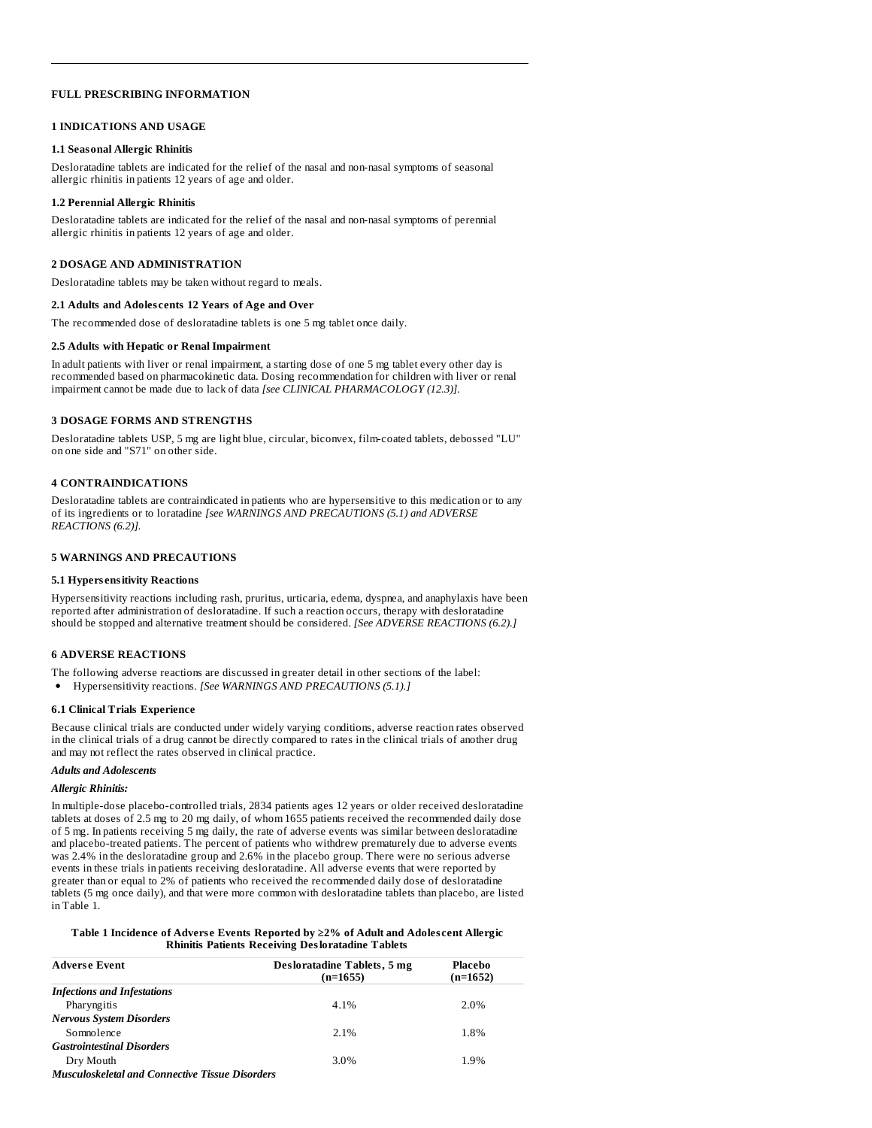# **FULL PRESCRIBING INFORMATION**

# **1 INDICATIONS AND USAGE**

#### **1.1 Seasonal Allergic Rhinitis**

Desloratadine tablets are indicated for the relief of the nasal and non-nasal symptoms of seasonal allergic rhinitis in patients 12 years of age and older.

# **1.2 Perennial Allergic Rhinitis**

Desloratadine tablets are indicated for the relief of the nasal and non-nasal symptoms of perennial allergic rhinitis in patients 12 years of age and older.

# **2 DOSAGE AND ADMINISTRATION**

Desloratadine tablets may be taken without regard to meals.

#### **2.1 Adults and Adoles cents 12 Years of Age and Over**

The recommended dose of desloratadine tablets is one 5 mg tablet once daily.

# **2.5 Adults with Hepatic or Renal Impairment**

In adult patients with liver or renal impairment, a starting dose of one 5 mg tablet every other day is recommended based on pharmacokinetic data. Dosing recommendation for children with liver or renal impairment cannot be made due to lack of data *[see CLINICAL PHARMACOLOGY (12.3)]*.

# **3 DOSAGE FORMS AND STRENGTHS**

Desloratadine tablets USP, 5 mg are light blue, circular, biconvex, film-coated tablets, debossed "LU" on one side and "S71" on other side.

# **4 CONTRAINDICATIONS**

Desloratadine tablets are contraindicated in patients who are hypersensitive to this medication or to any of its ingredients or to loratadine *[see WARNINGS AND PRECAUTIONS (5.1) and ADVERSE REACTIONS (6.2)].*

# **5 WARNINGS AND PRECAUTIONS**

#### **5.1 Hypers ensitivity Reactions**

Hypersensitivity reactions including rash, pruritus, urticaria, edema, dyspnea, and anaphylaxis have been reported after administration of desloratadine. If such a reaction occurs, therapy with desloratadine should be stopped and alternative treatment should be considered. *[See ADVERSE REACTIONS (6.2).]*

# **6 ADVERSE REACTIONS**

The following adverse reactions are discussed in greater detail in other sections of the label:

Hypersensitivity reactions. *[See WARNINGS AND PRECAUTIONS (5.1).]*

#### **6.1 Clinical Trials Experience**

Because clinical trials are conducted under widely varying conditions, adverse reaction rates observed in the clinical trials of a drug cannot be directly compared to rates in the clinical trials of another drug and may not reflect the rates observed in clinical practice.

### *Adults and Adolescents*

#### *Allergic Rhinitis:*

In multiple-dose placebo-controlled trials, 2834 patients ages 12 years or older received desloratadine tablets at doses of 2.5 mg to 20 mg daily, of whom 1655 patients received the recommended daily dose of 5 mg. In patients receiving 5 mg daily, the rate of adverse events was similar between desloratadine and placebo-treated patients. The percent of patients who withdrew prematurely due to adverse events was 2.4% in the desloratadine group and 2.6% in the placebo group. There were no serious adverse events in these trials in patients receiving desloratadine. All adverse events that were reported by greater than or equal to 2% of patients who received the recommended daily dose of desloratadine tablets (5 mg once daily), and that were more common with desloratadine tablets than placebo, are listed in Table 1.

**Table 1 Incidence of Advers e Events Reported by ≥2% of Adult and Adoles cent Allergic Rhinitis Patients Receiving Desloratadine Tablets**

| <b>Adverse Event</b>                                   | Desloratadine Tablets, 5 mg<br>$(n=1655)$ | Placebo<br>$(n=1652)$ |
|--------------------------------------------------------|-------------------------------------------|-----------------------|
| <b>Infections and Infestations</b>                     |                                           |                       |
| Pharyngitis                                            | 4.1%                                      | 2.0%                  |
| <b>Nervous System Disorders</b>                        |                                           |                       |
| Sommolence                                             | 2.1%                                      | 1.8%                  |
| <b>Gastrointestinal Disorders</b>                      |                                           |                       |
| Dry Mouth                                              | 3.0%                                      | 1.9%                  |
| <b>Musculoskeletal and Connective Tissue Disorders</b> |                                           |                       |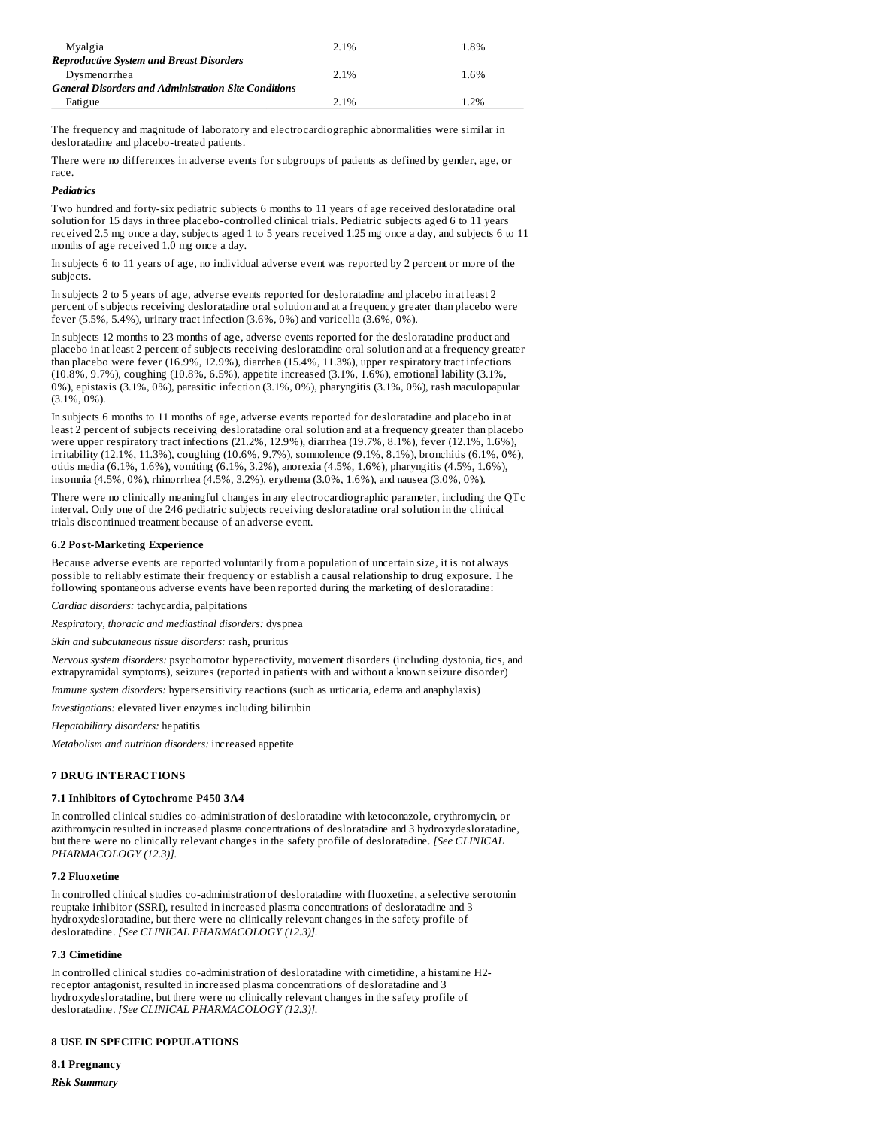| Myalgia                                                                     | $2.1\%$ | 1.8% |
|-----------------------------------------------------------------------------|---------|------|
| <b>Reproductive System and Breast Disorders</b>                             | $2.1\%$ | 1.6% |
| Dysmenorrhea<br><b>General Disorders and Administration Site Conditions</b> |         |      |
| Fatigue                                                                     | $2.1\%$ | 1.2% |

The frequency and magnitude of laboratory and electrocardiographic abnormalities were similar in desloratadine and placebo-treated patients.

There were no differences in adverse events for subgroups of patients as defined by gender, age, or race.

# *Pediatrics*

Two hundred and forty-six pediatric subjects 6 months to 11 years of age received desloratadine oral solution for 15 days in three placebo-controlled clinical trials. Pediatric subjects aged 6 to 11 years received 2.5 mg once a day, subjects aged 1 to 5 years received 1.25 mg once a day, and subjects 6 to 11 months of age received 1.0 mg once a day.

In subjects 6 to 11 years of age, no individual adverse event was reported by 2 percent or more of the subjects.

In subjects 2 to 5 years of age, adverse events reported for desloratadine and placebo in at least 2 percent of subjects receiving desloratadine oral solution and at a frequency greater than placebo were fever (5.5%, 5.4%), urinary tract infection (3.6%, 0%) and varicella (3.6%, 0%).

In subjects 12 months to 23 months of age, adverse events reported for the desloratadine product and placebo in at least 2 percent of subjects receiving desloratadine oral solution and at a frequency greater than placebo were fever (16.9%, 12.9%), diarrhea (15.4%, 11.3%), upper respiratory tract infections (10.8%, 9.7%), coughing (10.8%, 6.5%), appetite increased (3.1%, 1.6%), emotional lability (3.1%, 0%), epistaxis (3.1%, 0%), parasitic infection (3.1%, 0%), pharyngitis (3.1%, 0%), rash maculopapular (3.1%, 0%).

In subjects 6 months to 11 months of age, adverse events reported for desloratadine and placebo in at least 2 percent of subjects receiving desloratadine oral solution and at a frequency greater than placebo were upper respiratory tract infections (21.2%, 12.9%), diarrhea (19.7%, 8.1%), fever (12.1%, 1.6%), irritability (12.1%, 11.3%), coughing (10.6%, 9.7%), somnolence (9.1%, 8.1%), bronchitis (6.1%, 0%), otitis media (6.1%, 1.6%), vomiting (6.1%, 3.2%), anorexia (4.5%, 1.6%), pharyngitis (4.5%, 1.6%), insomnia (4.5%, 0%), rhinorrhea (4.5%, 3.2%), erythema (3.0%, 1.6%), and nausea (3.0%, 0%).

There were no clinically meaningful changes in any electrocardiographic parameter, including the QTc interval. Only one of the 246 pediatric subjects receiving desloratadine oral solution in the clinical trials discontinued treatment because of an adverse event.

# **6.2 Post-Marketing Experience**

Because adverse events are reported voluntarily from a population of uncertain size, it is not always possible to reliably estimate their frequency or establish a causal relationship to drug exposure. The following spontaneous adverse events have been reported during the marketing of desloratadine:

*Cardiac disorders:* tachycardia, palpitations

*Respiratory, thoracic and mediastinal disorders:* dyspnea

*Skin and subcutaneous tissue disorders:* rash, pruritus

*Nervous system disorders:* psychomotor hyperactivity, movement disorders (including dystonia, tics, and extrapyramidal symptoms), seizures (reported in patients with and without a known seizure disorder)

*Immune system disorders:* hypersensitivity reactions (such as urticaria, edema and anaphylaxis)

*Investigations:* elevated liver enzymes including bilirubin

*Hepatobiliary disorders:* hepatitis

*Metabolism and nutrition disorders:* increased appetite

# **7 DRUG INTERACTIONS**

# **7.1 Inhibitors of Cytochrome P450 3A4**

In controlled clinical studies co-administration of desloratadine with ketoconazole, erythromycin, or azithromycin resulted in increased plasma concentrations of desloratadine and 3 hydroxydesloratadine, but there were no clinically relevant changes in the safety profile of desloratadine. *[See CLINICAL PHARMACOLOGY (12.3)].*

# **7.2 Fluoxetine**

In controlled clinical studies co-administration of desloratadine with fluoxetine, a selective serotonin reuptake inhibitor (SSRI), resulted in increased plasma concentrations of desloratadine and 3 hydroxydesloratadine, but there were no clinically relevant changes in the safety profile of desloratadine. *[See CLINICAL PHARMACOLOGY (12.3)].*

# **7.3 Cimetidine**

In controlled clinical studies co-administration of desloratadine with cimetidine, a histamine H2 receptor antagonist, resulted in increased plasma concentrations of desloratadine and 3 hydroxydesloratadine, but there were no clinically relevant changes in the safety profile of desloratadine. *[See CLINICAL PHARMACOLOGY (12.3)].*

# **8 USE IN SPECIFIC POPULATIONS**

**8.1 Pregnancy** *Risk Summary*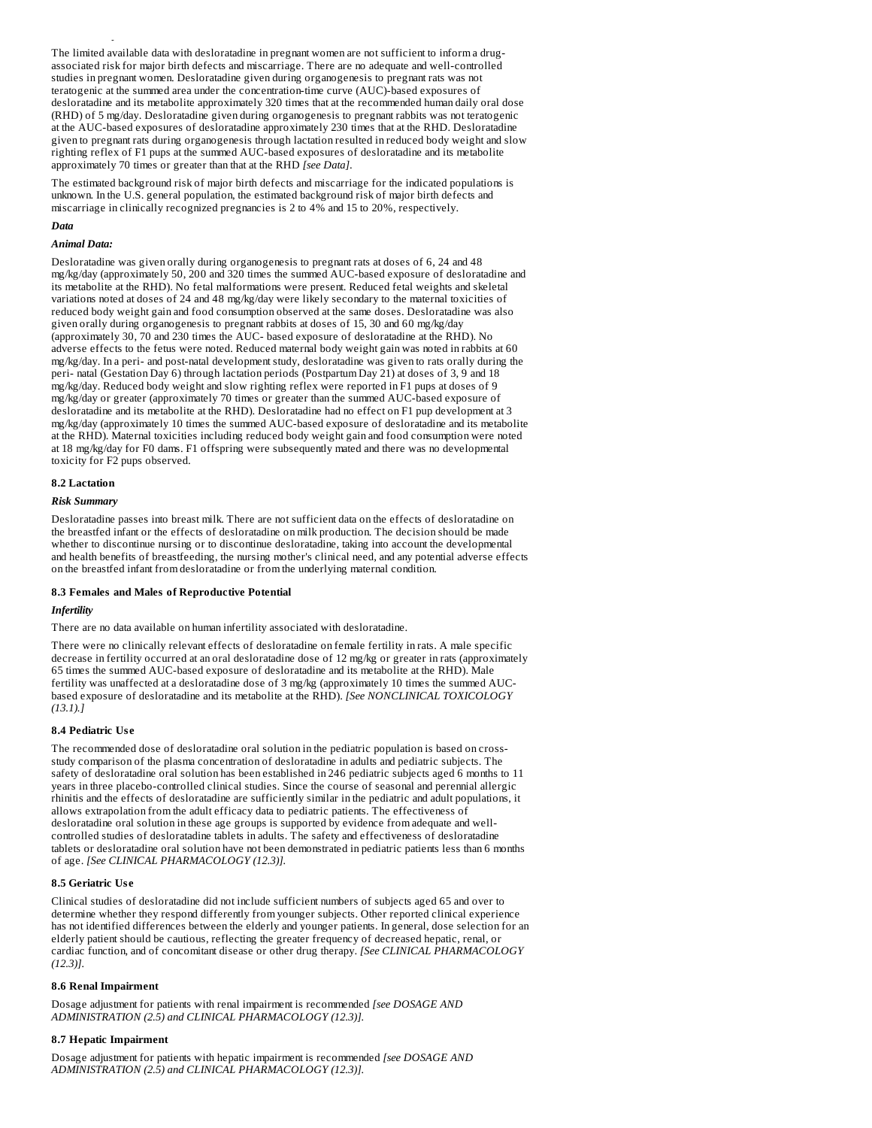The limited available data with desloratadine in pregnant women are not sufficient to inform a drugassociated risk for major birth defects and miscarriage. There are no adequate and well-controlled studies in pregnant women. Desloratadine given during organogenesis to pregnant rats was not teratogenic at the summed area under the concentration-time curve (AUC)-based exposures of desloratadine and its metabolite approximately 320 times that at the recommended human daily oral dose (RHD) of 5 mg/day. Desloratadine given during organogenesis to pregnant rabbits was not teratogenic at the AUC-based exposures of desloratadine approximately 230 times that at the RHD. Desloratadine given to pregnant rats during organogenesis through lactation resulted in reduced body weight and slow righting reflex of F1 pups at the summed AUC-based exposures of desloratadine and its metabolite approximately 70 times or greater than that at the RHD *[see Data]*.

The estimated background risk of major birth defects and miscarriage for the indicated populations is unknown. In the U.S. general population, the estimated background risk of major birth defects and miscarriage in clinically recognized pregnancies is 2 to 4% and 15 to 20%, respectively.

# *Data*

# *Animal Data:*

*Risk Summary*

Desloratadine was given orally during organogenesis to pregnant rats at doses of 6, 24 and 48 mg/kg/day (approximately 50, 200 and 320 times the summed AUC-based exposure of desloratadine and its metabolite at the RHD). No fetal malformations were present. Reduced fetal weights and skeletal variations noted at doses of 24 and 48 mg/kg/day were likely secondary to the maternal toxicities of reduced body weight gain and food consumption observed at the same doses. Desloratadine was also given orally during organogenesis to pregnant rabbits at doses of 15, 30 and 60 mg/kg/day (approximately 30, 70 and 230 times the AUC- based exposure of desloratadine at the RHD). No adverse effects to the fetus were noted. Reduced maternal body weight gain was noted in rabbits at 60 mg/kg/day. In a peri- and post-natal development study, desloratadine was given to rats orally during the peri- natal (Gestation Day 6) through lactation periods (Postpartum Day 21) at doses of 3, 9 and 18 mg/kg/day. Reduced body weight and slow righting reflex were reported in F1 pups at doses of 9 mg/kg/day or greater (approximately 70 times or greater than the summed AUC-based exposure of desloratadine and its metabolite at the RHD). Desloratadine had no effect on F1 pup development at 3 mg/kg/day (approximately 10 times the summed AUC-based exposure of desloratadine and its metabolite at the RHD). Maternal toxicities including reduced body weight gain and food consumption were noted at 18 mg/kg/day for F0 dams. F1 offspring were subsequently mated and there was no developmental toxicity for F2 pups observed.

#### **8.2 Lactation**

#### *Risk Summary*

Desloratadine passes into breast milk. There are not sufficient data on the effects of desloratadine on the breastfed infant or the effects of desloratadine on milk production. The decision should be made whether to discontinue nursing or to discontinue desloratadine, taking into account the developmental and health benefits of breastfeeding, the nursing mother's clinical need, and any potential adverse effects on the breastfed infant from desloratadine or from the underlying maternal condition.

#### **8.3 Females and Males of Reproductive Potential**

#### *Infertility*

There are no data available on human infertility associated with desloratadine.

There were no clinically relevant effects of desloratadine on female fertility in rats. A male specific decrease in fertility occurred at an oral desloratadine dose of 12 mg/kg or greater in rats (approximately 65 times the summed AUC-based exposure of desloratadine and its metabolite at the RHD). Male fertility was unaffected at a desloratadine dose of 3 mg/kg (approximately 10 times the summed AUCbased exposure of desloratadine and its metabolite at the RHD). *[See NONCLINICAL TOXICOLOGY (13.1).]*

# **8.4 Pediatric Us e**

The recommended dose of desloratadine oral solution in the pediatric population is based on crossstudy comparison of the plasma concentration of desloratadine in adults and pediatric subjects. The safety of desloratadine oral solution has been established in 246 pediatric subjects aged 6 months to 11 years in three placebo-controlled clinical studies. Since the course of seasonal and perennial allergic rhinitis and the effects of desloratadine are sufficiently similar in the pediatric and adult populations, it allows extrapolation from the adult efficacy data to pediatric patients. The effectiveness of desloratadine oral solution in these age groups is supported by evidence from adequate and wellcontrolled studies of desloratadine tablets in adults. The safety and effectiveness of desloratadine tablets or desloratadine oral solution have not been demonstrated in pediatric patients less than 6 months of age. *[See CLINICAL PHARMACOLOGY (12.3)].*

# **8.5 Geriatric Us e**

Clinical studies of desloratadine did not include sufficient numbers of subjects aged 65 and over to determine whether they respond differently from younger subjects. Other reported clinical experience has not identified differences between the elderly and younger patients. In general, dose selection for an elderly patient should be cautious, reflecting the greater frequency of decreased hepatic, renal, or cardiac function, and of concomitant disease or other drug therapy. *[See CLINICAL PHARMACOLOGY (12.3)].*

#### **8.6 Renal Impairment**

Dosage adjustment for patients with renal impairment is recommended *[see DOSAGE AND ADMINISTRATION (2.5) and CLINICAL PHARMACOLOGY (12.3)].*

#### **8.7 Hepatic Impairment**

Dosage adjustment for patients with hepatic impairment is recommended *[see DOSAGE AND ADMINISTRATION (2.5) and CLINICAL PHARMACOLOGY (12.3)].*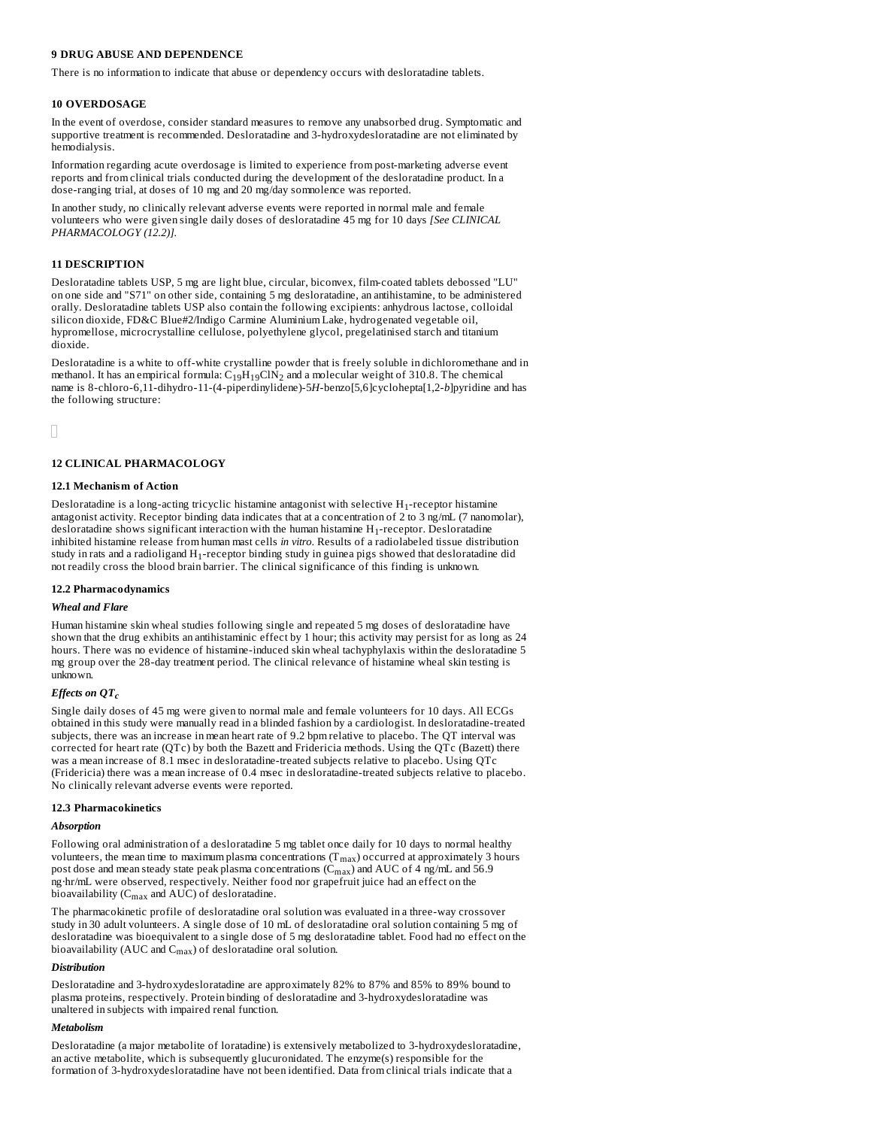# **9 DRUG ABUSE AND DEPENDENCE**

There is no information to indicate that abuse or dependency occurs with desloratadine tablets.

# **10 OVERDOSAGE**

In the event of overdose, consider standard measures to remove any unabsorbed drug. Symptomatic and supportive treatment is recommended. Desloratadine and 3-hydroxydesloratadine are not eliminated by hemodialysis.

Information regarding acute overdosage is limited to experience from post-marketing adverse event reports and from clinical trials conducted during the development of the desloratadine product. In a dose-ranging trial, at doses of 10 mg and 20 mg/day somnolence was reported.

In another study, no clinically relevant adverse events were reported in normal male and female volunteers who were given single daily doses of desloratadine 45 mg for 10 days *[See CLINICAL PHARMACOLOGY (12.2)].*

# **11 DESCRIPTION**

Desloratadine tablets USP, 5 mg are light blue, circular, biconvex, film-coated tablets debossed "LU" on one side and "S71" on other side, containing 5 mg desloratadine, an antihistamine, to be administered orally. Desloratadine tablets USP also contain the following excipients: anhydrous lactose, colloidal silicon dioxide, FD&C Blue#2/Indigo Carmine Aluminium Lake, hydrogenated vegetable oil, hypromellose, microcrystalline cellulose, polyethylene glycol, pregelatinised starch and titanium dioxide.

Desloratadine is a white to off-white crystalline powder that is freely soluble in dichloromethane and in methanol. It has an empirical formula:  $\rm{C_{19}H_{19}CN_{2}}$  and a molecular weight of 310.8. The chemical name is 8-chloro-6,11-dihydro-11-(4-piperdinylidene)-5*H*-benzo[5,6]cyclohepta[1,2-*b*]pyridine and has the following structure:

П

# **12 CLINICAL PHARMACOLOGY**

#### **12.1 Mechanism of Action**

Desloratadine is a long-acting tricyclic histamine antagonist with selective  $\rm H_{1}$ -receptor histamine antagonist activity. Receptor binding data indicates that at a concentration of 2 to 3 ng/mL (7 nanomolar), desloratadine shows significant interaction with the human histamine  $\rm H_{1}$ -receptor. Desloratadine inhibited histamine release from human mast cells *in vitro*. Results of a radiolabeled tissue distribution study in rats and a radioligand  $\rm H_1$ -receptor binding study in guinea pigs showed that desloratadine did not readily cross the blood brain barrier. The clinical significance of this finding is unknown.

### **12.2 Pharmacodynamics**

#### *Wheal and Flare*

Human histamine skin wheal studies following single and repeated 5 mg doses of desloratadine have shown that the drug exhibits an antihistaminic effect by 1 hour; this activity may persist for as long as 24 hours. There was no evidence of histamine-induced skin wheal tachyphylaxis within the desloratadine 5 mg group over the 28-day treatment period. The clinical relevance of histamine wheal skin testing is unknown.

# *Effects on QT c*

Single daily doses of 45 mg were given to normal male and female volunteers for 10 days. All ECGs obtained in this study were manually read in a blinded fashion by a cardiologist. In desloratadine-treated subjects, there was an increase in mean heart rate of 9.2 bpm relative to placebo. The QT interval was corrected for heart rate (QTc) by both the Bazett and Fridericia methods. Using the QTc (Bazett) there was a mean increase of 8.1 msec in desloratadine-treated subjects relative to placebo. Using QTc (Fridericia) there was a mean increase of 0.4 msec in desloratadine-treated subjects relative to placebo. No clinically relevant adverse events were reported.

### **12.3 Pharmacokinetics**

#### *Absorption*

Following oral administration of a desloratadine 5 mg tablet once daily for 10 days to normal healthy volunteers, the mean time to maximum plasma concentrations (T $_{\rm max}$ ) occurred at approximately 3 hours post dose and mean steady state peak plasma concentrations (C $_{\rm max}$ ) and AUC of 4 ng/mL and 56.9 ng·hr/mL were observed, respectively. Neither food nor grapefruit juice had an effect on the bioavailability ( $C_{\rm max}$  and AUC) of desloratadine.

The pharmacokinetic profile of desloratadine oral solution was evaluated in a three-way crossover study in 30 adult volunteers. A single dose of 10 mL of desloratadine oral solution containing 5 mg of desloratadine was bioequivalent to a single dose of 5 mg desloratadine tablet. Food had no effect on the bioavailability (AUC and  $C_{\rm max}$ ) of desloratadine oral solution.

# *Distribution*

Desloratadine and 3-hydroxydesloratadine are approximately 82% to 87% and 85% to 89% bound to plasma proteins, respectively. Protein binding of desloratadine and 3-hydroxydesloratadine was unaltered in subjects with impaired renal function.

#### *Metabolism*

Desloratadine (a major metabolite of loratadine) is extensively metabolized to 3-hydroxydesloratadine, an active metabolite, which is subsequently glucuronidated. The enzyme(s) responsible for the formation of 3-hydroxydesloratadine have not been identified. Data from clinical trials indicate that a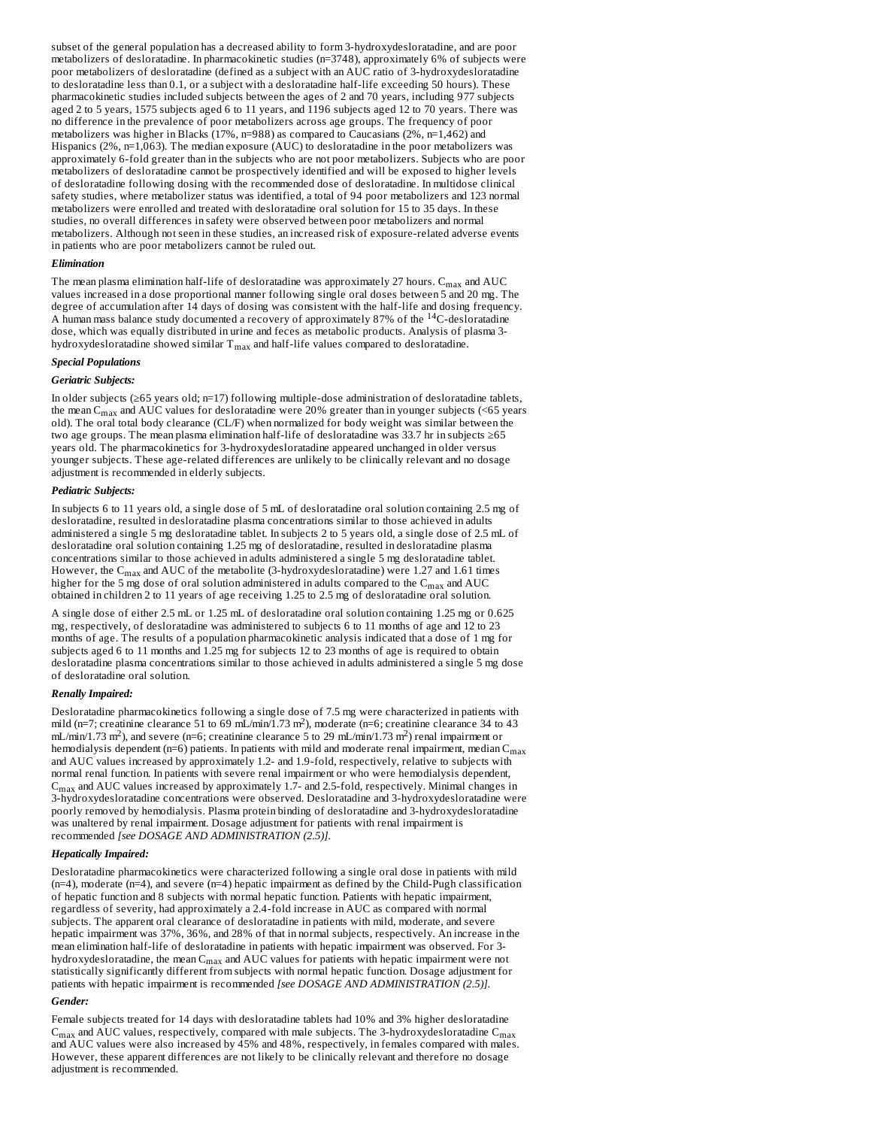subset of the general population has a decreased ability to form 3-hydroxydesloratadine, and are poor metabolizers of desloratadine. In pharmacokinetic studies (n=3748), approximately 6% of subjects were poor metabolizers of desloratadine (defined as a subject with an AUC ratio of 3-hydroxydesloratadine to desloratadine less than 0.1, or a subject with a desloratadine half-life exceeding 50 hours). These pharmacokinetic studies included subjects between the ages of 2 and 70 years, including 977 subjects aged 2 to 5 years, 1575 subjects aged 6 to 11 years, and 1196 subjects aged 12 to 70 years. There was no difference in the prevalence of poor metabolizers across age groups. The frequency of poor metabolizers was higher in Blacks (17%, n=988) as compared to Caucasians (2%, n=1,462) and Hispanics (2%, n=1,063). The median exposure (AUC) to desloratadine in the poor metabolizers was approximately 6-fold greater than in the subjects who are not poor metabolizers. Subjects who are poor metabolizers of desloratadine cannot be prospectively identified and will be exposed to higher levels of desloratadine following dosing with the recommended dose of desloratadine. In multidose clinical safety studies, where metabolizer status was identified, a total of 94 poor metabolizers and 123 normal metabolizers were enrolled and treated with desloratadine oral solution for 15 to 35 days. In these studies, no overall differences in safety were observed between poor metabolizers and normal metabolizers. Although not seen in these studies, an increased risk of exposure-related adverse events in patients who are poor metabolizers cannot be ruled out.

#### *Elimination*

The mean plasma elimination half-life of desloratadine was approximately 27 hours.  $C_{\rm max}$  and  $\rm AUC$ values increased in a dose proportional manner following single oral doses between 5 and 20 mg. The degree of accumulation after 14 days of dosing was consistent with the half-life and dosing frequency. A human mass balance study documented a recovery of approximately 87% of the <sup>14</sup>C-desloratadine dose, which was equally distributed in urine and feces as metabolic products. Analysis of plasma 3 hydroxydesloratadine showed similar  $\texttt{T}_{\max}$  and half-life values compared to desloratadine.

# *Special Populations*

# *Geriatric Subjects:*

In older subjects (≥65 years old; n=17) following multiple-dose administration of desloratadine tablets, the mean C $_{\rm max}$  and AUC values for desloratadine were 20% greater than in younger subjects (<65 years old). The oral total body clearance (CL/F) when normalized for body weight was similar between the two age groups. The mean plasma elimination half-life of desloratadine was 33.7 hr in subjects ≥65 years old. The pharmacokinetics for 3-hydroxydesloratadine appeared unchanged in older versus younger subjects. These age-related differences are unlikely to be clinically relevant and no dosage adjustment is recommended in elderly subjects.

#### *Pediatric Subjects:*

In subjects 6 to 11 years old, a single dose of 5 mL of desloratadine oral solution containing 2.5 mg of desloratadine, resulted in desloratadine plasma concentrations similar to those achieved in adults administered a single 5 mg desloratadine tablet. In subjects 2 to 5 years old, a single dose of 2.5 mL of desloratadine oral solution containing 1.25 mg of desloratadine, resulted in desloratadine plasma concentrations similar to those achieved in adults administered a single 5 mg desloratadine tablet. However, the  $\rm{C_{max}}$  and AUC of the metabolite (3-hydroxydesloratadine) were 1.27 and 1.61 times higher for the 5 mg dose of oral solution administered in adults compared to the  $\rm{C_{max}}$  and  $\rm{AUC}$ obtained in children 2 to 11 years of age receiving 1.25 to 2.5 mg of desloratadine oral solution.

A single dose of either 2.5 mL or 1.25 mL of desloratadine oral solution containing 1.25 mg or 0.625 mg, respectively, of desloratadine was administered to subjects 6 to 11 months of age and 12 to 23 months of age. The results of a population pharmacokinetic analysis indicated that a dose of 1 mg for subjects aged 6 to 11 months and 1.25 mg for subjects 12 to 23 months of age is required to obtain desloratadine plasma concentrations similar to those achieved in adults administered a single 5 mg dose of desloratadine oral solution.

#### *Renally Impaired:*

Desloratadine pharmacokinetics following a single dose of 7.5 mg were characterized in patients with mild (n=7; creatinine clearance 51 to 69 mL/min/1.73 m<sup>2</sup>), moderate (n=6; creatinine clearance 34 to 43  $mL/min/1.73 m<sup>2</sup>$ ), and severe (n=6; creatinine clearance 5 to 29 mL/min/1.73 m<sup>2</sup>) renal impairment or hemodialysis dependent (n=6) patients. In patients with mild and moderate renal impairment, median  $\rm C_{max}$ and AUC values increased by approximately 1.2- and 1.9-fold, respectively, relative to subjects with normal renal function. In patients with severe renal impairment or who were hemodialysis dependent,  $\rm C_{max}$  and AUC values increased by approximately 1.7- and 2.5-fold, respectively. Minimal changes in 3-hydroxydesloratadine concentrations were observed. Desloratadine and 3-hydroxydesloratadine were poorly removed by hemodialysis. Plasma protein binding of desloratadine and 3-hydroxydesloratadine was unaltered by renal impairment. Dosage adjustment for patients with renal impairment is recommended *[see DOSAGE AND ADMINISTRATION (2.5)].*

#### *Hepatically Impaired:*

Desloratadine pharmacokinetics were characterized following a single oral dose in patients with mild  $(n=4)$ , moderate  $(n=4)$ , and severe  $(n=4)$  hepatic impairment as defined by the Child-Pugh classification of hepatic function and 8 subjects with normal hepatic function. Patients with hepatic impairment, regardless of severity, had approximately a 2.4-fold increase in AUC as compared with normal subjects. The apparent oral clearance of desloratadine in patients with mild, moderate, and severe hepatic impairment was 37%, 36%, and 28% of that in normal subjects, respectively. An increase in the mean elimination half-life of desloratadine in patients with hepatic impairment was observed. For 3 hydroxydesloratadine, the mean  $\mathsf{C}_{\max}$  and AUC values for patients with hepatic impairment were not statistically significantly different from subjects with normal hepatic function. Dosage adjustment for patients with hepatic impairment is recommended *[see DOSAGE AND ADMINISTRATION (2.5)].*

#### *Gender:*

Female subjects treated for 14 days with desloratadine tablets had 10% and 3% higher desloratadine  $\rm C_{max}$  and AUC values, respectively, compared with male subjects. The 3-hydroxydesloratadine  $\rm C_{max}$ and AUC values were also increased by 45% and 48%, respectively, in females compared with males. However, these apparent differences are not likely to be clinically relevant and therefore no dosage adjustment is recommended.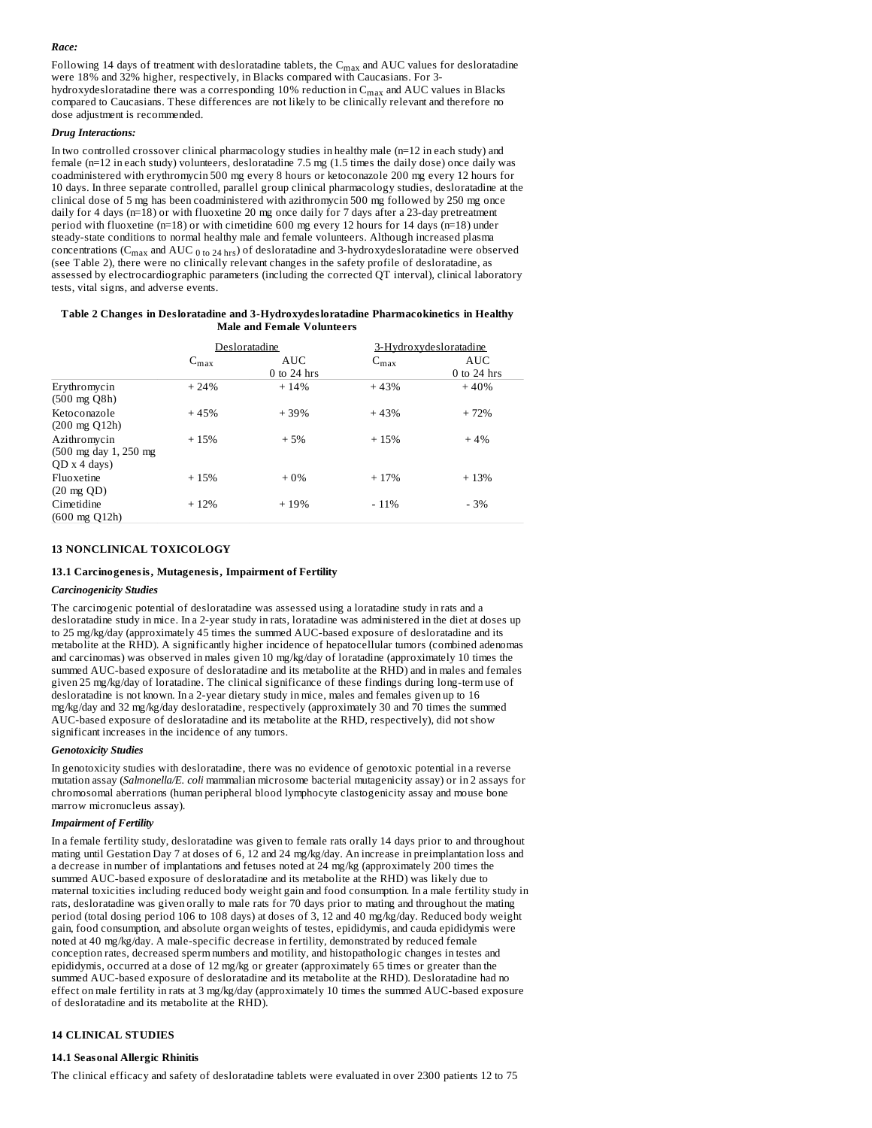## *Race:*

Following 14 days of treatment with desloratadine tablets, the  $C_{\rm max}$  and AUC values for desloratadine were 18% and 32% higher, respectively, in Blacks compared with Caucasians. For 3 hydroxydesloratadine there was a corresponding  $10\%$  reduction in  $\rm C_{max}$  and  $\rm AUC$  values in Blacks compared to Caucasians. These differences are not likely to be clinically relevant and therefore no dose adjustment is recommended.

# *Drug Interactions:*

In two controlled crossover clinical pharmacology studies in healthy male (n=12 in each study) and female (n=12 in each study) volunteers, desloratadine 7.5 mg (1.5 times the daily dose) once daily was coadministered with erythromycin 500 mg every 8 hours or ketoconazole 200 mg every 12 hours for 10 days. In three separate controlled, parallel group clinical pharmacology studies, desloratadine at the clinical dose of 5 mg has been coadministered with azithromycin 500 mg followed by 250 mg once daily for 4 days (n=18) or with fluoxetine 20 mg once daily for 7 days after a 23-day pretreatment period with fluoxetine (n=18) or with cimetidine 600 mg every 12 hours for 14 days (n=18) under steady-state conditions to normal healthy male and female volunteers. Although increased plasma concentrations ( $C_{\rm max}$  and AUC <sub>0 to 24 hrs</sub>) of desloratadine and 3-hydroxydesloratadine were observed (see Table 2), there were no clinically relevant changes in the safety profile of desloratadine, as assessed by electrocardiographic parameters (including the corrected QT interval), clinical laboratory tests, vital signs, and adverse events.

| Table 2 Changes in Desloratadine and 3-Hydroxydesloratadine Pharmacokinetics in Healthy |
|-----------------------------------------------------------------------------------------|
| Male and Female Volunteers                                                              |

|                                                              | Desloratadine    |                      |                  | 3-Hydroxydesloratadine |
|--------------------------------------------------------------|------------------|----------------------|------------------|------------------------|
|                                                              | $C_{\text{max}}$ | AUC<br>$0$ to 24 hrs | $C_{\text{max}}$ | AUC<br>$0$ to 24 hrs   |
| Erythromycin<br>$(500 \text{ mg } Q8h)$                      | $+24%$           | $+14%$               | $+43%$           | $+40%$                 |
| Ketoconazole<br>$(200 \text{ mg } Q12h)$                     | $+45%$           | $+39%$               | $+43%$           | $+72%$                 |
| Azithromycin<br>(500 mg day 1, 250 mg<br>$QD \times 4$ days) | $+15%$           | $+5%$                | $+15%$           | $+4%$                  |
| Fluoxetine<br>$(20 \text{ mg } QD)$                          | $+15%$           | $+0\%$               | $+17%$           | $+13%$                 |
| Cimetidine<br>$(600 \text{ mg } Q12h)$                       | $+12%$           | $+19%$               | $-11%$           | $-3%$                  |

#### **13 NONCLINICAL TOXICOLOGY**

#### **13.1 Carcinogenesis, Mutagenesis, Impairment of Fertility**

#### *Carcinogenicity Studies*

The carcinogenic potential of desloratadine was assessed using a loratadine study in rats and a desloratadine study in mice. In a 2-year study in rats, loratadine was administered in the diet at doses up to 25 mg/kg/day (approximately 45 times the summed AUC-based exposure of desloratadine and its metabolite at the RHD). A significantly higher incidence of hepatocellular tumors (combined adenomas and carcinomas) was observed in males given 10 mg/kg/day of loratadine (approximately 10 times the summed AUC-based exposure of desloratadine and its metabolite at the RHD) and in males and females given 25 mg/kg/day of loratadine. The clinical significance of these findings during long-term use of desloratadine is not known. In a 2-year dietary study in mice, males and females given up to 16 mg/kg/day and 32 mg/kg/day desloratadine, respectively (approximately 30 and 70 times the summed AUC-based exposure of desloratadine and its metabolite at the RHD, respectively), did not show significant increases in the incidence of any tumors.

#### *Genotoxicity Studies*

In genotoxicity studies with desloratadine, there was no evidence of genotoxic potential in a reverse mutation assay (*Salmonella/E. coli* mammalian microsome bacterial mutagenicity assay) or in 2 assays for chromosomal aberrations (human peripheral blood lymphocyte clastogenicity assay and mouse bone marrow micronucleus assay).

## *Impairment of Fertility*

In a female fertility study, desloratadine was given to female rats orally 14 days prior to and throughout mating until Gestation Day 7 at doses of 6, 12 and 24 mg/kg/day. An increase in preimplantation loss and a decrease in number of implantations and fetuses noted at 24 mg/kg (approximately 200 times the summed AUC-based exposure of desloratadine and its metabolite at the RHD) was likely due to maternal toxicities including reduced body weight gain and food consumption. In a male fertility study in rats, desloratadine was given orally to male rats for 70 days prior to mating and throughout the mating period (total dosing period 106 to 108 days) at doses of 3, 12 and 40 mg/kg/day. Reduced body weight gain, food consumption, and absolute organ weights of testes, epididymis, and cauda epididymis were noted at 40 mg/kg/day. A male-specific decrease in fertility, demonstrated by reduced female conception rates, decreased sperm numbers and motility, and histopathologic changes in testes and epididymis, occurred at a dose of 12 mg/kg or greater (approximately 65 times or greater than the summed AUC-based exposure of desloratadine and its metabolite at the RHD). Desloratadine had no effect on male fertility in rats at 3 mg/kg/day (approximately 10 times the summed AUC-based exposure of desloratadine and its metabolite at the RHD).

# **14 CLINICAL STUDIES**

# **14.1 Seasonal Allergic Rhinitis**

The clinical efficacy and safety of desloratadine tablets were evaluated in over 2300 patients 12 to 75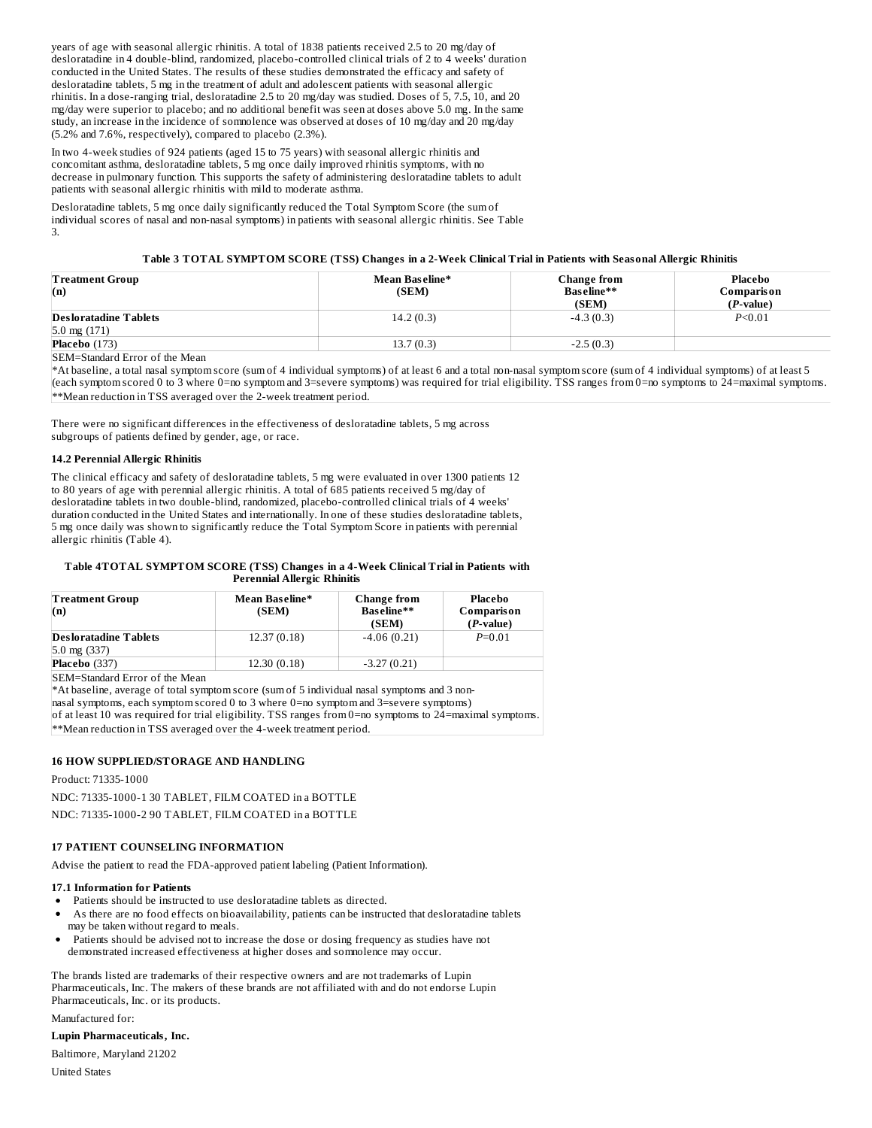years of age with seasonal allergic rhinitis. A total of 1838 patients received 2.5 to 20 mg/day of desloratadine in 4 double-blind, randomized, placebo-controlled clinical trials of 2 to 4 weeks' duration conducted in the United States. The results of these studies demonstrated the efficacy and safety of desloratadine tablets, 5 mg in the treatment of adult and adolescent patients with seasonal allergic rhinitis. In a dose-ranging trial, desloratadine 2.5 to 20 mg/day was studied. Doses of 5, 7.5, 10, and 20 mg/day were superior to placebo; and no additional benefit was seen at doses above 5.0 mg. In the same study, an increase in the incidence of somnolence was observed at doses of 10 mg/day and 20 mg/day (5.2% and 7.6%, respectively), compared to placebo (2.3%).

In two 4-week studies of 924 patients (aged 15 to 75 years) with seasonal allergic rhinitis and concomitant asthma, desloratadine tablets, 5 mg once daily improved rhinitis symptoms, with no decrease in pulmonary function. This supports the safety of administering desloratadine tablets to adult patients with seasonal allergic rhinitis with mild to moderate asthma.

Desloratadine tablets, 5 mg once daily significantly reduced the Total Symptom Score (the sum of individual scores of nasal and non-nasal symptoms) in patients with seasonal allergic rhinitis. See Table 3.

# Table 3 TOTAL SYMPTOM SCORE (TSS) Changes in a 2-Week Clinical Trial in Patients with Seasonal Allergic Rhinitis

| <b>Treatment Group</b><br>(n)                  | Mean Baseline*<br>(SEM) | Change from<br>Baseline**<br>(SEM) | Placebo<br>Comparison<br>$(P-value)$ |
|------------------------------------------------|-------------------------|------------------------------------|--------------------------------------|
| <b>Desloratadine Tablets</b><br>5.0 mg $(171)$ | 14.2(0.3)               | $-4.3(0.3)$                        | P<0.01                               |
| Placebo (173)                                  | 13.7(0.3)               | $-2.5(0.3)$                        |                                      |

SEM=Standard Error of the Mean

\*At baseline, a total nasal symptom score (sum of 4 individual symptoms) of at least 6 and a total non-nasal symptom score (sum of 4 individual symptoms) of at least 5 (each symptom scored 0 to 3 where 0=no symptom and 3=severe symptoms) was required for trial eligibility. TSS ranges from 0=no symptoms to 24=maximal symptoms. \*\*Mean reduction in TSS averaged over the 2-week treatment period.

There were no significant differences in the effectiveness of desloratadine tablets, 5 mg across subgroups of patients defined by gender, age, or race.

#### **14.2 Perennial Allergic Rhinitis**

The clinical efficacy and safety of desloratadine tablets, 5 mg were evaluated in over 1300 patients 12 to 80 years of age with perennial allergic rhinitis. A total of 685 patients received 5 mg/day of desloratadine tablets in two double-blind, randomized, placebo-controlled clinical trials of 4 weeks' duration conducted in the United States and internationally. In one of these studies desloratadine tablets, 5 mg once daily was shown to significantly reduce the Total Symptom Score in patients with perennial allergic rhinitis (Table 4).

#### **Table 4TOTAL SYMPTOM SCORE (TSS) Changes in a 4-Week Clinical Trial in Patients with Perennial Allergic Rhinitis**

| <b>Treatment Group</b><br>(n)  | Mean Baseline*<br>(SEM) | <b>Change from</b><br>Baseline**<br>(SEM) | Placebo<br>Comparison<br>$(P-value)$ |  |
|--------------------------------|-------------------------|-------------------------------------------|--------------------------------------|--|
| <b>Desloratadine Tablets</b>   | 12.37(0.18)             | $-4.06(0.21)$                             | $P=0.01$                             |  |
| $5.0 \text{ mg } (337)$        |                         |                                           |                                      |  |
| Placebo (337)                  | 12.30(0.18)             | $-3.27(0.21)$                             |                                      |  |
| SEM=Standard Error of the Mean |                         |                                           |                                      |  |

\*At baseline, average of total symptom score (sum of 5 individual nasal symptoms and 3 nonnasal symptoms, each symptom scored 0 to 3 where 0=no symptom and 3=severe symptoms) of at least 10 was required for trial eligibility. TSS ranges from 0=no symptoms to 24=maximal symptoms. \*\*Mean reduction in TSS averaged over the 4-week treatment period.

# **16 HOW SUPPLIED/STORAGE AND HANDLING**

Product: 71335-1000

NDC: 71335-1000-1 30 TABLET, FILM COATED in a BOTTLE

NDC: 71335-1000-2 90 TABLET, FILM COATED in a BOTTLE

# **17 PATIENT COUNSELING INFORMATION**

Advise the patient to read the FDA-approved patient labeling (Patient Information).

#### **17.1 Information for Patients**

- Patients should be instructed to use desloratadine tablets as directed.
- As there are no food effects on bioavailability, patients can be instructed that desloratadine tablets may be taken without regard to meals.
- Patients should be advised not to increase the dose or dosing frequency as studies have not demonstrated increased effectiveness at higher doses and somnolence may occur.

The brands listed are trademarks of their respective owners and are not trademarks of Lupin Pharmaceuticals, Inc. The makers of these brands are not affiliated with and do not endorse Lupin Pharmaceuticals, Inc. or its products.

Manufactured for:

**Lupin Pharmaceuticals, Inc.**

Baltimore, Maryland 21202

United States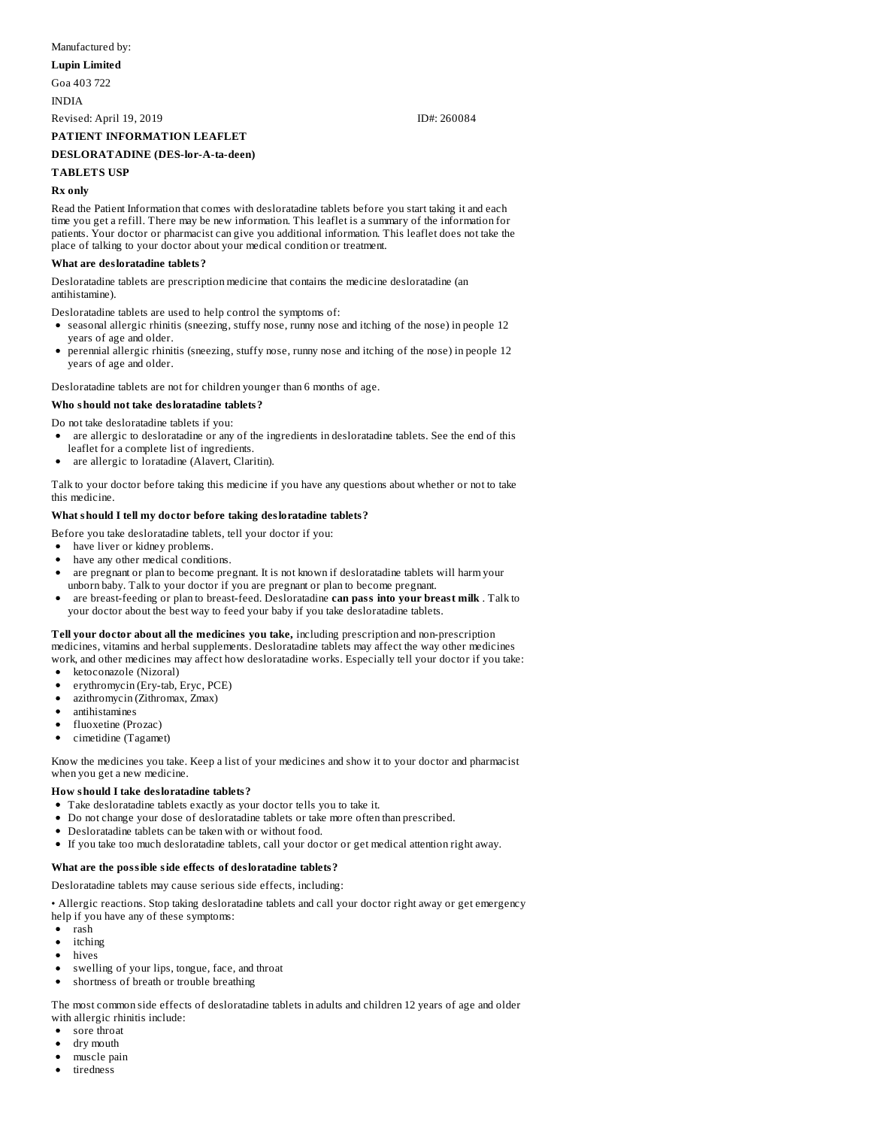# Manufactured by:

**Lupin Limited**

Goa 403 722

INDIA

Revised: April 19, 2019 ID#: 260084

# **PATIENT INFORMATION LEAFLET**

# **DESLORATADINE (DES-lor-A-ta-deen)**

# **TABLETS USP**

# **Rx only**

Read the Patient Information that comes with desloratadine tablets before you start taking it and each time you get a refill. There may be new information. This leaflet is a summary of the information for patients. Your doctor or pharmacist can give you additional information. This leaflet does not take the place of talking to your doctor about your medical condition or treatment.

# **What are desloratadine tablets?**

Desloratadine tablets are prescription medicine that contains the medicine desloratadine (an antihistamine).

Desloratadine tablets are used to help control the symptoms of:

- seasonal allergic rhinitis (sneezing, stuffy nose, runny nose and itching of the nose) in people 12 years of age and older.
- perennial allergic rhinitis (sneezing, stuffy nose, runny nose and itching of the nose) in people 12 years of age and older.

Desloratadine tablets are not for children younger than 6 months of age.

# **Who should not take desloratadine tablets?**

Do not take desloratadine tablets if you:

- are allergic to desloratadine or any of the ingredients in desloratadine tablets. See the end of this
- leaflet for a complete list of ingredients.
- $\bullet$ are allergic to loratadine (Alavert, Claritin).

Talk to your doctor before taking this medicine if you have any questions about whether or not to take this medicine.

# **What should I tell my doctor before taking desloratadine tablets?**

- Before you take desloratadine tablets, tell your doctor if you:
- $\bullet$ have liver or kidney problems.
- $\bullet$ have any other medical conditions.
- are pregnant or plan to become pregnant. It is not known if desloratadine tablets will harm your unborn baby. Talk to your doctor if you are pregnant or plan to become pregnant.
- are breast-feeding or plan to breast-feed. Desloratadine **can pass into your breast milk** . Talk to your doctor about the best way to feed your baby if you take desloratadine tablets.

**Tell your doctor about all the medicines you take,** including prescription and non-prescription medicines, vitamins and herbal supplements. Desloratadine tablets may affect the way other medicines

work, and other medicines may affect how desloratadine works. Especially tell your doctor if you take:

- ketoconazole (Nizoral)
- erythromycin (Ery-tab, Eryc, PCE)  $\bullet$
- $\bullet$ azithromycin (Zithromax, Zmax)
- antihistamines
- fluoxetine (Prozac)
- cimetidine (Tagamet)

Know the medicines you take. Keep a list of your medicines and show it to your doctor and pharmacist when you get a new medicine.

# **How should I take desloratadine tablets?**

- Take desloratadine tablets exactly as your doctor tells you to take it.
- Do not change your dose of desloratadine tablets or take more often than prescribed.
- Desloratadine tablets can be taken with or without food.
- If you take too much desloratadine tablets, call your doctor or get medical attention right away.

# **What are the possible side effects of desloratadine tablets?**

Desloratadine tablets may cause serious side effects, including:

• Allergic reactions. Stop taking desloratadine tablets and call your doctor right away or get emergency help if you have any of these symptoms:

- rash
- $\bullet$ itching
- hives
- $\bullet$ swelling of your lips, tongue, face, and throat
- shortness of breath or trouble breathing

The most common side effects of desloratadine tablets in adults and children 12 years of age and older

with allergic rhinitis include:

- sore throat
- dry mouth
- muscle pain tiredness $\bullet$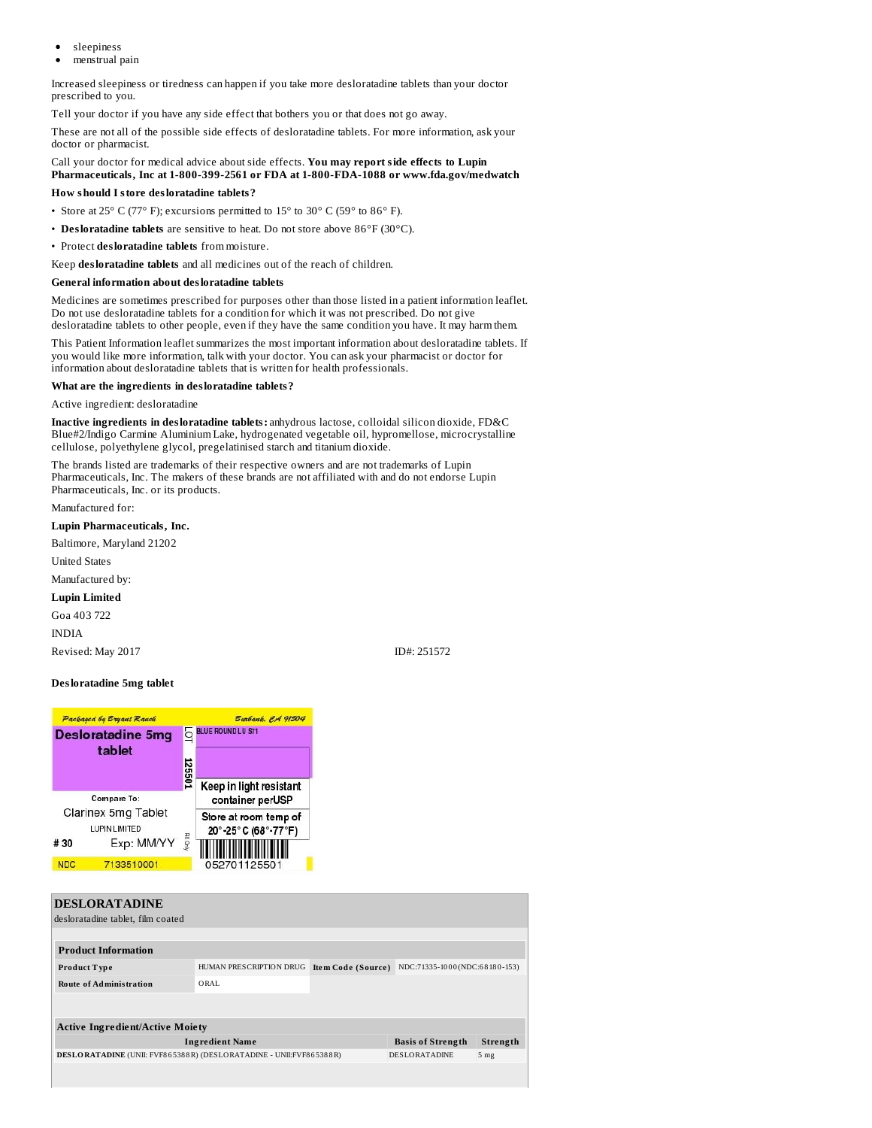- sleepiness
- menstrual pain

Increased sleepiness or tiredness can happen if you take more desloratadine tablets than your doctor prescribed to you.

Tell your doctor if you have any side effect that bothers you or that does not go away.

These are not all of the possible side effects of desloratadine tablets. For more information, ask your doctor or pharmacist.

# Call your doctor for medical advice about side effects. **You may report side effects to Lupin Pharmaceuticals, Inc at 1-800-399-2561 or FDA at 1-800-FDA-1088 or www.fda.gov/medwatch**

# **How should I store desloratadine tablets?**

- Store at 25° C (77° F); excursions permitted to 15° to 30° C (59° to 86° F).
- **Desloratadine tablets** are sensitive to heat. Do not store above 86°F (30°C).
- Protect **desloratadine tablets** from moisture.

Keep **desloratadine tablets** and all medicines out of the reach of children.

### **General information about desloratadine tablets**

Medicines are sometimes prescribed for purposes other than those listed in a patient information leaflet. Do not use desloratadine tablets for a condition for which it was not prescribed. Do not give desloratadine tablets to other people, even if they have the same condition you have. It may harm them.

This Patient Information leaflet summarizes the most important information about desloratadine tablets. If you would like more information, talk with your doctor. You can ask your pharmacist or doctor for information about desloratadine tablets that is written for health professionals.

#### **What are the ingredients in desloratadine tablets?**

Active ingredient: desloratadine

**Inactive ingredients in desloratadine tablets:** anhydrous lactose, colloidal silicon dioxide, FD&C Blue#2/Indigo Carmine Aluminium Lake, hydrogenated vegetable oil, hypromellose, microcrystalline cellulose, polyethylene glycol, pregelatinised starch and titanium dioxide.

The brands listed are trademarks of their respective owners and are not trademarks of Lupin Pharmaceuticals, Inc. The makers of these brands are not affiliated with and do not endorse Lupin Pharmaceuticals, Inc. or its products.

Manufactured for:

# **Lupin Pharmaceuticals, Inc.**

Baltimore, Maryland 21202

United States

Manufactured by:

# **Lupin Limited**

Goa 403 722

INDIA

Revised: May 2017 **ID#: 251572** 

#### **Desloratadine 5mg tablet**



| <b>DESLORATADINE</b>                                                                       |                          |                    |                               |                 |
|--------------------------------------------------------------------------------------------|--------------------------|--------------------|-------------------------------|-----------------|
| desloratadine tablet, film coated                                                          |                          |                    |                               |                 |
|                                                                                            |                          |                    |                               |                 |
| <b>Product Information</b>                                                                 |                          |                    |                               |                 |
| Product Type                                                                               | HUMAN PRESCRIPTION DRUG  | Item Code (Source) | NDC:71335-1000(NDC:68180-153) |                 |
| <b>Route of Administration</b>                                                             | ORAL.                    |                    |                               |                 |
|                                                                                            |                          |                    |                               |                 |
|                                                                                            |                          |                    |                               |                 |
| <b>Active Ingredient/Active Moiety</b>                                                     |                          |                    |                               |                 |
| <b>Ingredient Name</b>                                                                     | <b>Basis of Strength</b> | Strength           |                               |                 |
| <b>DESLORATADINE</b><br>DESLORATADINE (UNII: FVF865388R) (DESLORATADINE - UNII:FVF865388R) |                          |                    |                               | 5 <sub>mg</sub> |
|                                                                                            |                          |                    |                               |                 |